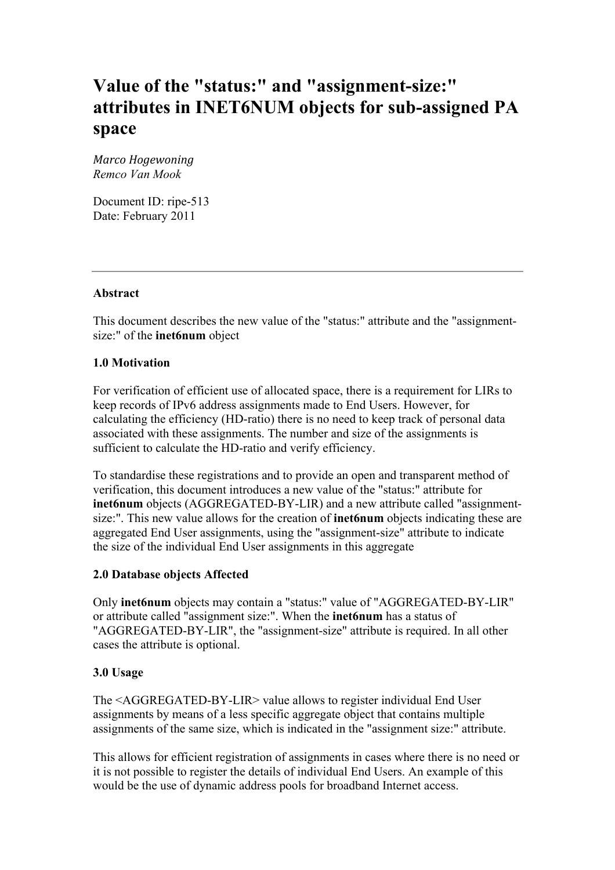# **Value of the "status:" and "assignment-size:" attributes in INET6NUM objects for sub-assigned PA space**

*Marco
Hogewoning Remco Van Mook*

Document ID: ripe-513 Date: February 2011

## **Abstract**

This document describes the new value of the "status:" attribute and the "assignmentsize:" of the **inet6num** object

### **1.0 Motivation**

For verification of efficient use of allocated space, there is a requirement for LIRs to keep records of IPv6 address assignments made to End Users. However, for calculating the efficiency (HD-ratio) there is no need to keep track of personal data associated with these assignments. The number and size of the assignments is sufficient to calculate the HD-ratio and verify efficiency.

To standardise these registrations and to provide an open and transparent method of verification, this document introduces a new value of the "status:" attribute for **inet6num** objects (AGGREGATED-BY-LIR) and a new attribute called "assignmentsize:". This new value allows for the creation of **inet6num** objects indicating these are aggregated End User assignments, using the "assignment-size" attribute to indicate the size of the individual End User assignments in this aggregate

## **2.0 Database objects Affected**

Only **inet6num** objects may contain a "status:" value of "AGGREGATED-BY-LIR" or attribute called "assignment size:". When the **inet6num** has a status of "AGGREGATED-BY-LIR", the "assignment-size" attribute is required. In all other cases the attribute is optional.

## **3.0 Usage**

The <AGGREGATED-BY-LIR> value allows to register individual End User assignments by means of a less specific aggregate object that contains multiple assignments of the same size, which is indicated in the "assignment size:" attribute.

This allows for efficient registration of assignments in cases where there is no need or it is not possible to register the details of individual End Users. An example of this would be the use of dynamic address pools for broadband Internet access.